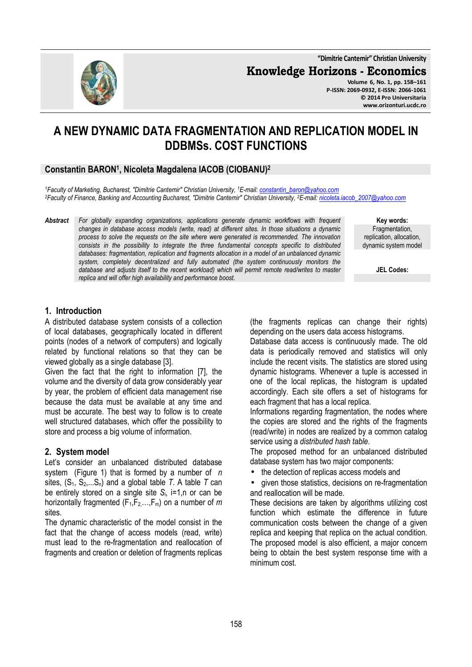**"Dimitrie Cantemir" Christian University**

**Knowledge Horizons - Economics**

**Volume 6, No. 1, pp. 158–161 P-ISSN: 2069-0932, E-ISSN: 2066-1061 © 2014 Pro Universitaria www.orizonturi.ucdc.ro**

# **A NEW DYNAMIC DATA FRAGMENTATION AND REPLICATION MODEL IN DDBMSs. COST FUNCTIONS**

# **Constantin BARON<sup>1</sup> , Nicoleta Magdalena IACOB (CIOBANU)<sup>2</sup>**

*<sup>1</sup>Faculty of Marketing, Bucharest, "Dimitrie Cantemir" Christian University, <sup>1</sup>E-mail: constantin\_baron@yahoo.com <sup>2</sup>Faculty of Finance, Banking and Accounting Bucharest, "Dimitrie Cantemir" Christian University, <sup>2</sup>E-mail: nicoleta.iacob\_2007@yahoo.com*

*Abstract For globally expanding organizations, applications generate dynamic workflows with frequent changes in database access models (write, read) at different sites. In those situations a dynamic process to solve the requests on the site where were generated is recommended. The innovation consists in the possibility to integrate the three fundamental concepts specific to distributed databases: fragmentation, replication and fragments allocation in a model of an unbalanced dynamic system, completely decentralized and fully automated (the system continuously monitors the database and adjusts itself to the recent workload) which will permit remote read/writes to master replica and will offer high availability and performance boost.* 

**Key words:** Fragmentation, replication, allocation, dynamic system model

**JEL Codes:**

# **1. Introduction**

A distributed database system consists of a collection of local databases, geographically located in different points (nodes of a network of computers) and logically related by functional relations so that they can be viewed globally as a single database [3].

Given the fact that the right to information [7], the volume and the diversity of data grow considerably year by year, the problem of efficient data management rise because the data must be available at any time and must be accurate. The best way to follow is to create well structured databases, which offer the possibility to store and process a big volume of information.

### **2. System model**

Let's consider an unbalanced distributed database system (Figure 1) that is formed by a number of *n* sites,  $(S_1, S_2,...S_n)$  and a global table *T*. A table *T* can be entirely stored on a single site *Si*, i=1,n or can be horizontally fragmented  $(F_1, F_2, \ldots, F_m)$  on a number of *m* sites.

The dynamic characteristic of the model consist in the fact that the change of access models (read, write) must lead to the re-fragmentation and reallocation of fragments and creation or deletion of fragments replicas (the fragments replicas can change their rights) depending on the users data access histograms.

Database data access is continuously made. The old data is periodically removed and statistics will only include the recent visits. The statistics are stored using dynamic histograms. Whenever a tuple is accessed in one of the local replicas, the histogram is updated accordingly. Each site offers a set of histograms for each fragment that has a local replica.

Informations regarding fragmentation, the nodes where the copies are stored and the rights of the fragments (read/write) in nodes are realized by a common catalog service using a *distributed hash table*.

The proposed method for an unbalanced distributed database system has two major components:

- the detection of replicas access models and
- given those statistics, decisions on re-fragmentation and reallocation will be made.

These decisions are taken by algorithms utilizing cost function which estimate the difference in future communication costs between the change of a given replica and keeping that replica on the actual condition. The proposed model is also efficient, a major concern being to obtain the best system response time with a minimum cost.

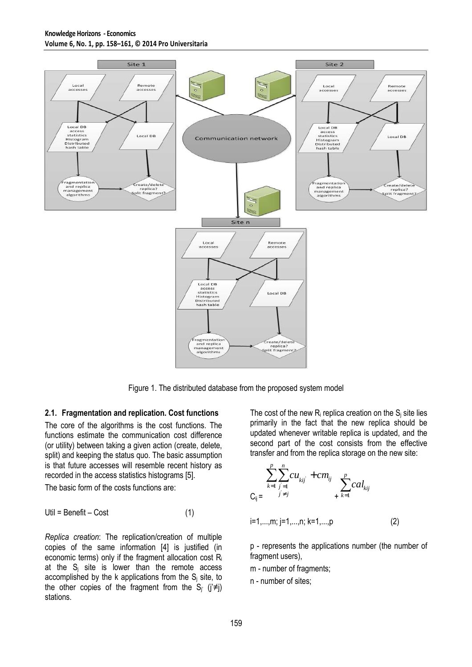#### **Knowledge Horizons - Economics Volume 6, No. 1, pp. 158–161, © 2014 Pro Universitaria**



Figure 1. The distributed database from the proposed system model

#### **2.1. Fragmentation and replication. Cost functions**

The core of the algorithms is the cost functions. The functions estimate the communication cost difference (or utility) between taking a given action (create, delete, split) and keeping the status quo. The basic assumption is that future accesses will resemble recent history as recorded in the access statistics histograms [5].

The basic form of the costs functions are:

$$
Util = \text{Benefit} - \text{Cost} \tag{1}
$$

*Replica creation*: The replication/creation of multiple copies of the same information [4] is justified (in economic terms) only if the fragment allocation cost  $R_i$ at the  $S_i$  site is lower than the remote access accomplished by the k applications from the  $S_i$  site, to the other copies of the fragment from the S<sub>i'</sub> ( $i \neq j$ ) stations.

The cost of the new  $R_i$  replica creation on the  $S_i$  site lies primarily in the fact that the new replica should be updated whenever writable replica is updated, and the second part of the cost consists from the effective transfer and from the replica storage on the new site:

$$
\sum_{k=1}^{p} \sum_{\substack{j=1 \ j \neq j}}^{n} cu_{kij} + cm_{ij} \sum_{\substack{p \ k=1}}^{p} cal_{kij}
$$

i=1,...,m; j=1,...,n; k=1,...,p (2)

p - represents the applications number (the number of fragment users),

- m number of fragments;
- n number of sites;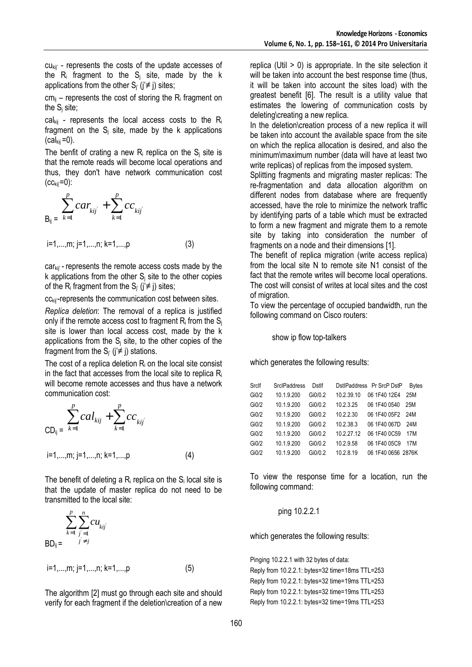cukij' - represents the costs of the update accesses of the  $R_i$  fragment to the  $S_i$  site, made by the k applications from the other  $S_i$  ( $i \neq j$ ) sites;

 $cm_{ii}$  – represents the cost of storing the R<sub>i</sub> fragment on the  $S_i$  site;

 $cal_{kin}$  - represents the local access costs to the R<sub>i</sub> fragment on the  $S_i$  site, made by the k applications  $(cal_{\text{kii}}=0).$ 

The benfit of crating a new  $R_i$  replica on the  $S_i$  site is that the remote reads will become local operations and thus, they don't have network communication cost  $(cc<sub>kii</sub> = 0):$ 

$$
\sum_{B_{ij}}^{p} car_{kij} + \sum_{k=1}^{p} cc_{kij}
$$

$$
i=1,...,m; j=1,...,n; k=1,...,p
$$
 (3)

carkij' - represents the remote access costs made by the k applications from the other  $S_i$  site to the other copies of the R<sub>i</sub> fragment from the S<sub>i'</sub> ( $i \neq j$ ) sites;

cc<sub>kij</sub>-represents the communication cost between sites.

*Replica deletion*: The removal of a replica is justified only if the remote access cost to fragment  $R_i$  from the  $S_i$ site is lower than local access cost, made by the k applications from the  $S_i$  site, to the other copies of the fragment from the  $S_i$  ( $i \neq j$ ) stations.

The cost of a replica deletion  $R_i$  on the local site consist in the fact that accesses from the local site to replica  $R_i$ will become remote accesses and thus have a network communication cost:

$$
\sum_{\substack{c} \subset D_{ij} = k=1}}^{p} cal_{kij} + \sum_{k=1}^{p} cc_{kij}
$$
\n
$$
i=1,...,m; j=1,...,n; k=1,...,p
$$
\n(4)

The benefit of deleting a  $R_i$  replica on the  $S_i$  local site is that the update of master replica do not need to be transmitted to the local site:

$$
\sum_{k=1}^{p} \sum_{j=1}^{n} c u_{kij}
$$
  
BD<sub>ij</sub> =  $\sum_{j \neq j}^{n} c u_{kij}$   
i=1......m; i=1......n; k=1......p (5)

The algorithm [2] must go through each site and should verify for each fragment if the deletion\creation of a new replica (Util  $> 0$ ) is appropriate. In the site selection it will be taken into account the best response time (thus, it will be taken into account the sites load) with the greatest benefit [6]. The result is a utility value that estimates the lowering of communication costs by deleting\creating a new replica.

In the deletion\creation process of a new replica it will be taken into account the available space from the site on which the replica allocation is desired, and also the minimum\maximum number (data will have at least two write replicas) of replicas from the imposed system.

Splitting fragments and migrating master replicas: The re-fragmentation and data allocation algorithm on different nodes from database where are frequently accessed, have the role to minimize the network traffic by identifying parts of a table which must be extracted to form a new fragment and migrate them to a remote site by taking into consideration the number of fragments on a node and their dimensions [1].

The benefit of replica migration (write access replica) from the local site N to remote site N1 consist of the fact that the remote writes will become local operations. The cost will consist of writes at local sites and the cost of migration.

To view the percentage of occupied bandwidth, run the following command on Cisco routers:

show ip flow top-talkers

which generates the following results:

| Srclf | <b>SrcIPaddress</b> | Dstlf   |            | DstlPaddress Pr SrcP DstP | <b>Bytes</b> |
|-------|---------------------|---------|------------|---------------------------|--------------|
| Gi0/2 | 10.1.9.200          | Gi0/0.2 | 10.2.39.10 | 06 1F40 12E4              | 25M          |
| Gi0/2 | 10.1.9.200          | Gi0/0.2 | 10.2.3.25  | 06 1F40 0540              | 25M          |
| Gi0/2 | 10.1.9.200          | Gi0/0.2 | 10.2.2.30  | 06 1F40 05F2 24M          |              |
| Gi0/2 | 10.1.9.200          | Gi0/0.2 | 10.2.38.3  | 06 1F40 067D              | 24M          |
| Gi0/2 | 10.1.9.200          | Gi0/0.2 | 10.2.27.12 | 06 1F40 0C59              | 17M          |
| Gi0/2 | 10.1.9.200          | Gi0/0.2 | 10.2.9.58  | 06 1F40 05C9              | 17M          |
| Gi0/2 | 10.1.9.200          | Gi0/0.2 | 10.2.8.19  | 06 1F40 0656 2876K        |              |
|       |                     |         |            |                           |              |

To view the response time for a location, run the following command:

ping 10.2.2.1

which generates the following results:

Pinging 10.2.2.1 with 32 bytes of data:

Reply from 10.2.2.1: bytes=32 time=18ms TTL=253 Reply from 10.2.2.1: bytes=32 time=19ms TTL=253 Reply from 10.2.2.1: bytes=32 time=19ms TTL=253 Reply from 10.2.2.1: bytes=32 time=19ms TTL=253